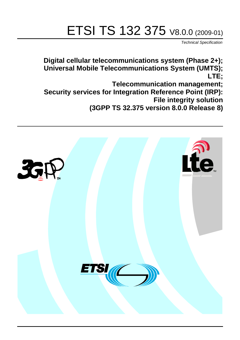# ETSI TS 132 375 V8.0.0 (2009-01)

*Technical Specification*

**Digital cellular telecommunications system (Phase 2+); Universal Mobile Telecommunications System (UMTS); LTE;**

**Telecommunication management;**

**Security services for Integration Reference Point (IRP): File integrity solution** 

**(3GPP TS 32.375 version 8.0.0 Release 8)**

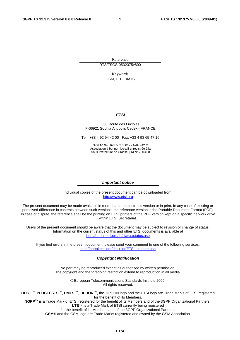Reference RTS/TSGS-0532375v800

Keywords

GSM, LTE, UMTS

#### *ETSI*

#### 650 Route des Lucioles F-06921 Sophia Antipolis Cedex - FRANCE

Tel.: +33 4 92 94 42 00 Fax: +33 4 93 65 47 16

Siret N° 348 623 562 00017 - NAF 742 C Association à but non lucratif enregistrée à la Sous-Préfecture de Grasse (06) N° 7803/88

#### *Important notice*

Individual copies of the present document can be downloaded from: [http://www.etsi.org](http://www.etsi.org/)

The present document may be made available in more than one electronic version or in print. In any case of existing or perceived difference in contents between such versions, the reference version is the Portable Document Format (PDF). In case of dispute, the reference shall be the printing on ETSI printers of the PDF version kept on a specific network drive within ETSI Secretariat.

Users of the present document should be aware that the document may be subject to revision or change of status. Information on the current status of this and other ETSI documents is available at <http://portal.etsi.org/tb/status/status.asp>

If you find errors in the present document, please send your comment to one of the following services: [http://portal.etsi.org/chaircor/ETSI\\_support.asp](http://portal.etsi.org/chaircor/ETSI_support.asp)

#### *Copyright Notification*

No part may be reproduced except as authorized by written permission. The copyright and the foregoing restriction extend to reproduction in all media.

> © European Telecommunications Standards Institute 2009. All rights reserved.

**DECT**TM, **PLUGTESTS**TM, **UMTS**TM, **TIPHON**TM, the TIPHON logo and the ETSI logo are Trade Marks of ETSI registered for the benefit of its Members.

**3GPP**TM is a Trade Mark of ETSI registered for the benefit of its Members and of the 3GPP Organizational Partners. **LTE**™ is a Trade Mark of ETSI currently being registered

for the benefit of its Members and of the 3GPP Organizational Partners.

**GSM**® and the GSM logo are Trade Marks registered and owned by the GSM Association.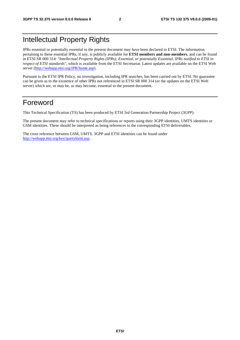# Intellectual Property Rights

IPRs essential or potentially essential to the present document may have been declared to ETSI. The information pertaining to these essential IPRs, if any, is publicly available for **ETSI members and non-members**, and can be found in ETSI SR 000 314: *"Intellectual Property Rights (IPRs); Essential, or potentially Essential, IPRs notified to ETSI in respect of ETSI standards"*, which is available from the ETSI Secretariat. Latest updates are available on the ETSI Web server (<http://webapp.etsi.org/IPR/home.asp>).

Pursuant to the ETSI IPR Policy, no investigation, including IPR searches, has been carried out by ETSI. No guarantee can be given as to the existence of other IPRs not referenced in ETSI SR 000 314 (or the updates on the ETSI Web server) which are, or may be, or may become, essential to the present document.

#### Foreword

This Technical Specification (TS) has been produced by ETSI 3rd Generation Partnership Project (3GPP).

The present document may refer to technical specifications or reports using their 3GPP identities, UMTS identities or GSM identities. These should be interpreted as being references to the corresponding ETSI deliverables.

The cross reference between GSM, UMTS, 3GPP and ETSI identities can be found under [http://webapp.etsi.org/key/queryform.asp.](http://webapp.etsi.org/key/queryform.asp)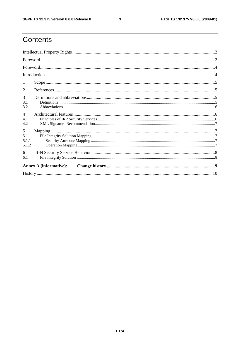$\mathbf{3}$ 

# Contents

| 2                             |  |  |  |  |  |
|-------------------------------|--|--|--|--|--|
| 3<br>3.1<br>3.2               |  |  |  |  |  |
| $\overline{4}$<br>4.1<br>4.2  |  |  |  |  |  |
| 5<br>5.1<br>5.1.1<br>5.1.2    |  |  |  |  |  |
| 6<br>6.1                      |  |  |  |  |  |
| <b>Annex A (informative):</b> |  |  |  |  |  |
|                               |  |  |  |  |  |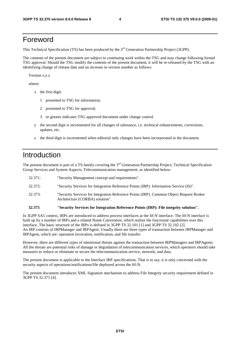#### Foreword

This Technical Specification (TS) has been produced by the 3<sup>rd</sup> Generation Partnership Project (3GPP).

The contents of the present document are subject to continuing work within the TSG and may change following formal TSG approval. Should the TSG modify the contents of the present document, it will be re-released by the TSG with an identifying change of release date and an increase in version number as follows:

Version x.y.z

where:

- x the first digit:
	- 1 presented to TSG for information;
	- 2 presented to TSG for approval;
	- 3 or greater indicates TSG approved document under change control.
- y the second digit is incremented for all changes of substance, i.e. technical enhancements, corrections, updates, etc.
- z the third digit is incremented when editorial only changes have been incorporated in the document.

### Introduction

The present document is part of a TS-family covering the 3<sup>rd</sup> Generation Partnership Project; Technical Specification Group Services and System Aspects; Telecommunication management; as identified below:

| 32.371: | "Security Management concept and requirements".                                                                            |
|---------|----------------------------------------------------------------------------------------------------------------------------|
| 32.372: | "Security Services for Integration Reference Points (IRP): Information Service (IS)".                                      |
| 32.373: | "Security Services for Integration Reference Points (IRP): Common Object Request Broker<br>Architecture (CORBA) solution". |

#### **32.375 "Security Services for Integration Reference Points (IRP): File integrity solution".**

In 3GPP SA5 context, IRPs are introduced to address process interfaces at the Itf-N interface. The Itf-N interface is built up by a number of IRPs and a related Name Convention, which realize the functional capabilities over this interface. The basic structure of the IRPs is defined in 3GPP TS 32.101 [1] and 3GPP TS 32.102 [2]. An IRP consists of IRPManager and IRPAgent. Usually there are three types of transaction between IRPManager and IRPAgent, which are: operation invocation, notification, and file transfer.

However, there are different types of intentional threats against the transaction between IRPManagers and IRPAgents. All the threats are potential risks of damage or degradation of telecommunication services, which operators should take measures to reduce or eliminate to secure the telecommunication service, network, and data.

The present document is applicable to the Interface IRP specifications. That is to say, it is only concerned with the security aspects of operations/notifications/file deployed across the Itf-N.

The present document introduces XML Signature mechanism to address File Integrity security requirement defined in 3GPP TS 32.371 [4].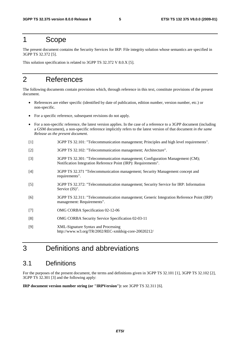### 1 Scope

The present document contains the Security Services for IRP: File integrity solution whose semantics are specified in 3GPP TS 32.372 [5].

This solution specification is related to 3GPP TS 32.372 V 8.0.X [5].

### 2 References

The following documents contain provisions which, through reference in this text, constitute provisions of the present document.

- References are either specific (identified by date of publication, edition number, version number, etc.) or non-specific.
- For a specific reference, subsequent revisions do not apply.
- For a non-specific reference, the latest version applies. In the case of a reference to a 3GPP document (including a GSM document), a non-specific reference implicitly refers to the latest version of that document *in the same Release as the present document*.
- [1] 3GPP TS 32.101: "Telecommunication management; Principles and high level requirements".
- [2] 3GPP TS 32.102: "Telecommunication management; Architecture".
- [3] 3GPP TS 32.301: "Telecommunication management; Configuration Management (CM); Notification Integration Reference Point (IRP): Requirements".
- [4] 3GPP TS 32.371 "Telecommunication management; Security Management concept and requirements".
- [5] 3GPP TS 32.372: "Telecommunication management; Security Service for IRP: Information Service (IS)".
- [6] 3GPP TS 32.311: "Telecommunication management; Generic Integration Reference Point (IRP) management: Requirements".
- [7] OMG CORBA Specification 02-12-06
- [8] OMG CORBA Security Service Specification 02-03-11
- [9] XML-Signature Syntax and Processing http://www.w3.org/TR/2002/REC-xmldsig-core-20020212/

### 3 Definitions and abbreviations

#### 3.1 Definitions

For the purposes of the present document, the terms and definitions given in 3GPP TS 32.101 [1], 3GPP TS 32.102 [2], 3GPP TS 32.301 [3] and the following apply:

**IRP document version number string (or "IRPVersion"):** see 3GPP TS 32.311 [6].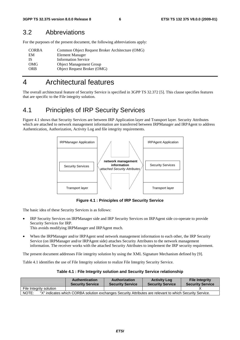#### 3.2 Abbreviations

For the purposes of the present document, the following abbreviations apply:

| <b>CORBA</b> | Common Object Request Broker Architecture (OMG) |
|--------------|-------------------------------------------------|
| EM           | Element Manager                                 |
| IS           | <b>Information Service</b>                      |
| OMG          | <b>Object Management Group</b>                  |
| <b>ORB</b>   | Object Request Broker (OMG)                     |
|              |                                                 |

#### 4 Architectural features

The overall architectural feature of Security Service is specified in 3GPP TS 32.372 [5]. This clause specifies features that are specific to the File integrity solution.

#### 4.1 Principles of IRP Security Services

Figure 4.1 shows that Security Services are between IRP Application layer and Transport layer. Security Attributes which are attached to network management information are transferred between IRPManager and IRPAgent to address Authentication, Authorization, Activity Log and file integrity requirements.



**Figure 4.1 : Principles of IRP Security Service** 

The basic idea of these Security Services is as follows:

- IRP Security Services on IRPManager side and IRP Security Services on IRPAgent side co-operate to provide Security Services for IRP.
	- This avoids modifying IRPManager and IRPAgent much.
- When the IRPManager and/or IRPAgent send network management information to each other, the IRP Security Service (on IRPManager and/or IRPAgent side) attaches Security Attributes to the network management information. The receiver works with the attached Security Attributes to implement the IRP security requirement.

The present document addresses File integrity solution by using the XML Signature Mechanism defined by [9].

Table 4.1 identifies the use of File Integrity solution to realize File Integrity Security Service.

**Table 4.1 : File Integrity solution and Security Service relationship** 

|                         | <b>Authentication</b><br><b>Security Service</b> | Authorization<br><b>Security Service</b> | <b>Activity Log</b><br><b>Security Service</b>                                                           | <b>File Integrity</b><br><b>Security Service</b> |
|-------------------------|--------------------------------------------------|------------------------------------------|----------------------------------------------------------------------------------------------------------|--------------------------------------------------|
| File Integrity solution |                                                  |                                          |                                                                                                          |                                                  |
| NOTE:                   |                                                  |                                          | "X" indicates which CORBA solution exchanges Security Attributes are relevant to which Security Service. |                                                  |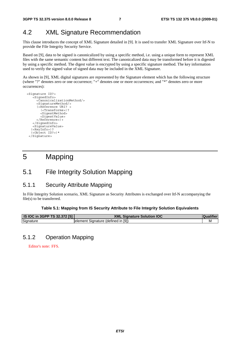### 4.2 XML Signature Recommendation

This clause introduces the concept of XML Signature detailed in [9]. It is used to transfer XML Signature over Itf-N to provide the File Integrity Security Service.

Based on [9], data to be signed is canonicalized by using a specific method, i.e. using a unique form to represent XML files with the same semantic content but different text. The canonicalized data may be transformed before it is digested by using a specific method. The digest value is encrypted by using a specific signature method. The key information used to verify the signed value of signed data may be included in the XML Signature.

As shown in [9], XML digital signatures are represented by the Signature element which has the following structure (where "?" denotes zero or one occurrence; "+" denotes one or more occurrences; and "\*" denotes zero or more occurrences):

```
 <Signature ID?> 
    -<br><SiqnedInfo>
       <CanonicalizationMethod/> 
<SignatureMethod/> 
(<Reference URI? > 
         (<Transforms>)? 
         <DigestMethod> 
         <DigestValue> 
       </Reference>)+ 
     </SignedInfo> 
     <SignatureValue> 
    (<KeyInfo>)? 
    (<Object ID?>)* 
   </Signature>
```
# 5 Mapping

### 5.1 File Integrity Solution Mapping

#### 5.1.1 Security Attribute Mapping

In File Integrity Solution scenario, XML Signature as Security Attributes is exchanged over Itf-N accompanying the file(s) to be transferred.

#### **Table 5.1: Mapping from IS Security Attribute to File Integrity Solution Equivalents**

| <b>IS IOC in 3GPP TS 32.372 [5]</b> | <b>XML Signature Solution IOC</b>   |  |
|-------------------------------------|-------------------------------------|--|
| Signature                           | lelement Signature (defined in [9]) |  |

#### 5.1.2 Operation Mapping

Editor's note: FFS.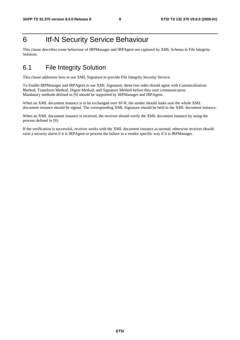# 6 Itf-N Security Service Behaviour

This clause describes some behaviour of IRPManager and IRPAgent not captured by XML Schema in File Integrity Solution.

# 6.1 File Integrity Solution

This clause addresses how to use XML Signature to provide File Integrity Security Service.

To Enable IRPManager and IRPAgent to use XML Signature, these two sides should agree with Canonicalization Method, Transform Method, Digest Method, and Signature Method before they start communication. Mandatory methods defined in [9] should be supported by IRPManager and IRPAgent.

When an XML document instance is to be exchanged over Itf-N, the sender should make sure the whole XML document instance should be signed. The corresponding XML Signature should be held in the XML document instance.

When an XML document instance is received, the receiver should verify the XML document instance by using the process defined in [9].

If the verification is successful, receiver works with the XML document instance as normal; otherwise receiver should raise a security alarm if it is IRPAgent or process the failure in a vendor specific way if it is IRPManager.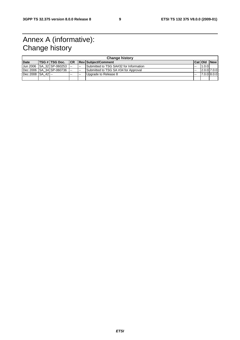# Annex A (informative): Change history

|                  | <b>Change history</b> |                                |       |        |                                        |        |                    |  |
|------------------|-----------------------|--------------------------------|-------|--------|----------------------------------------|--------|--------------------|--|
| <b>Date</b>      |                       | TSG # TSG Doc.                 |       |        | <b>ICR Revisublect/Comment</b>         |        | <b>CatiOld New</b> |  |
|                  |                       | Uun 2006 ISA 32 ISP-060253 I-- |       | $\sim$ | Submitted to TSG SA#32 for Information | $\sim$ | 1.0.0              |  |
|                  |                       | Dec 2006 SA 34 SP-060736 -     |       | $\sim$ | Submitted to TSG SA #34 for Approval   | $\sim$ | $2.0.0$ 7.0.0      |  |
| Dec 2008 SA 42 - |                       |                                | $- -$ | $- -$  | Upgrade to Release 8                   | --     | 7.0.0 8.0.0        |  |
|                  |                       |                                |       |        |                                        |        |                    |  |